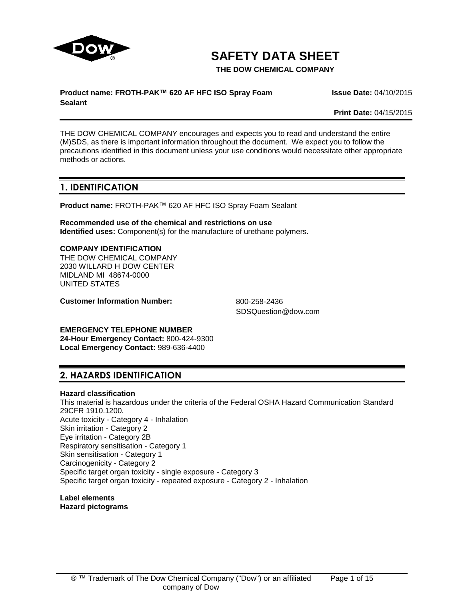

**SAFETY DATA SHEET**

**THE DOW CHEMICAL COMPANY**

#### **Product name: FROTH-PAK™ 620 AF HFC ISO Spray Foam Sealant**

**Issue Date:** 04/10/2015

**Print Date:** 04/15/2015

THE DOW CHEMICAL COMPANY encourages and expects you to read and understand the entire (M)SDS, as there is important information throughout the document. We expect you to follow the precautions identified in this document unless your use conditions would necessitate other appropriate methods or actions.

# **1. IDENTIFICATION**

**Product name:** FROTH-PAK™ 620 AF HFC ISO Spray Foam Sealant

**Recommended use of the chemical and restrictions on use Identified uses:** Component(s) for the manufacture of urethane polymers.

#### **COMPANY IDENTIFICATION**

THE DOW CHEMICAL COMPANY 2030 WILLARD H DOW CENTER MIDLAND MI 48674-0000 UNITED STATES

**Customer Information Number:** 800-258-2436

SDSQuestion@dow.com

**EMERGENCY TELEPHONE NUMBER**

**24-Hour Emergency Contact:** 800-424-9300 **Local Emergency Contact:** 989-636-4400

# **2. HAZARDS IDENTIFICATION**

## **Hazard classification**

This material is hazardous under the criteria of the Federal OSHA Hazard Communication Standard 29CFR 1910.1200. Acute toxicity - Category 4 - Inhalation Skin irritation - Category 2 Eye irritation - Category 2B Respiratory sensitisation - Category 1 Skin sensitisation - Category 1 Carcinogenicity - Category 2 Specific target organ toxicity - single exposure - Category 3 Specific target organ toxicity - repeated exposure - Category 2 - Inhalation

**Label elements Hazard pictograms**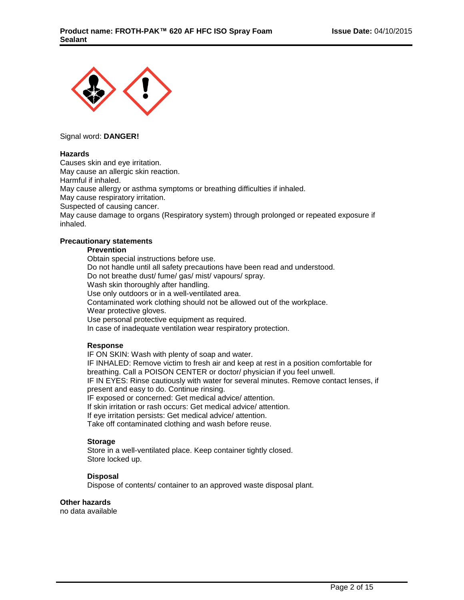

#### Signal word: **DANGER!**

#### **Hazards**

Causes skin and eye irritation. May cause an allergic skin reaction. Harmful if inhaled. May cause allergy or asthma symptoms or breathing difficulties if inhaled. May cause respiratory irritation. Suspected of causing cancer. May cause damage to organs (Respiratory system) through prolonged or repeated exposure if inhaled.

#### **Precautionary statements**

### **Prevention**

Obtain special instructions before use. Do not handle until all safety precautions have been read and understood. Do not breathe dust/ fume/ gas/ mist/ vapours/ spray. Wash skin thoroughly after handling. Use only outdoors or in a well-ventilated area. Contaminated work clothing should not be allowed out of the workplace. Wear protective gloves. Use personal protective equipment as required. In case of inadequate ventilation wear respiratory protection.

#### **Response**

IF ON SKIN: Wash with plenty of soap and water.

IF INHALED: Remove victim to fresh air and keep at rest in a position comfortable for breathing. Call a POISON CENTER or doctor/ physician if you feel unwell. IF IN EYES: Rinse cautiously with water for several minutes. Remove contact lenses, if

present and easy to do. Continue rinsing. IF exposed or concerned: Get medical advice/ attention.

If skin irritation or rash occurs: Get medical advice/ attention.

If eye irritation persists: Get medical advice/ attention.

Take off contaminated clothing and wash before reuse.

#### **Storage**

Store in a well-ventilated place. Keep container tightly closed. Store locked up.

#### **Disposal**

Dispose of contents/ container to an approved waste disposal plant.

#### **Other hazards**

no data available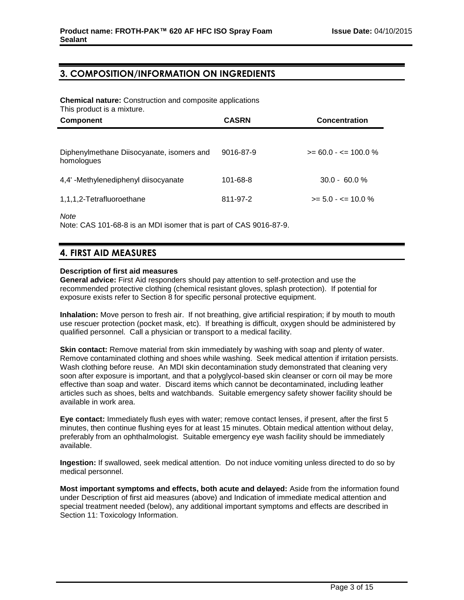# **3. COMPOSITION/INFORMATION ON INGREDIENTS**

**Chemical nature:** Construction and composite applications This product is a mixture.

| <b>Component</b>                                        | <b>CASRN</b> | <b>Concentration</b>     |
|---------------------------------------------------------|--------------|--------------------------|
| Diphenylmethane Diisocyanate, isomers and<br>homologues | 9016-87-9    | $>= 60.0 - \le 100.0 \%$ |
| 4,4'-Methylenediphenyl diisocyanate                     | 101-68-8     | $30.0 - 60.0 %$          |
| 1,1,1,2-Tetrafluoroethane                               | 811-97-2     | $>= 5.0 - \le 10.0 \%$   |

*Note*

Note: CAS 101-68-8 is an MDI isomer that is part of CAS 9016-87-9.

# **4. FIRST AID MEASURES**

#### **Description of first aid measures**

**General advice:** First Aid responders should pay attention to self-protection and use the recommended protective clothing (chemical resistant gloves, splash protection). If potential for exposure exists refer to Section 8 for specific personal protective equipment.

**Inhalation:** Move person to fresh air. If not breathing, give artificial respiration; if by mouth to mouth use rescuer protection (pocket mask, etc). If breathing is difficult, oxygen should be administered by qualified personnel. Call a physician or transport to a medical facility.

**Skin contact:** Remove material from skin immediately by washing with soap and plenty of water. Remove contaminated clothing and shoes while washing. Seek medical attention if irritation persists. Wash clothing before reuse. An MDI skin decontamination study demonstrated that cleaning very soon after exposure is important, and that a polyglycol-based skin cleanser or corn oil may be more effective than soap and water. Discard items which cannot be decontaminated, including leather articles such as shoes, belts and watchbands. Suitable emergency safety shower facility should be available in work area.

**Eye contact:** Immediately flush eyes with water; remove contact lenses, if present, after the first 5 minutes, then continue flushing eyes for at least 15 minutes. Obtain medical attention without delay, preferably from an ophthalmologist. Suitable emergency eye wash facility should be immediately available.

**Ingestion:** If swallowed, seek medical attention. Do not induce vomiting unless directed to do so by medical personnel.

**Most important symptoms and effects, both acute and delayed:** Aside from the information found under Description of first aid measures (above) and Indication of immediate medical attention and special treatment needed (below), any additional important symptoms and effects are described in Section 11: Toxicology Information.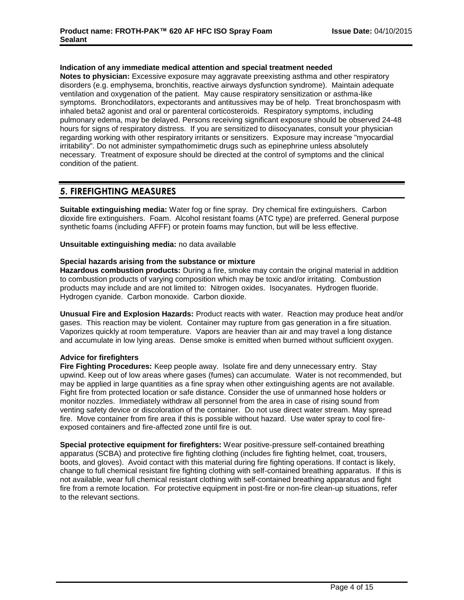#### **Indication of any immediate medical attention and special treatment needed**

**Notes to physician:** Excessive exposure may aggravate preexisting asthma and other respiratory disorders (e.g. emphysema, bronchitis, reactive airways dysfunction syndrome). Maintain adequate ventilation and oxygenation of the patient. May cause respiratory sensitization or asthma-like symptoms. Bronchodilators, expectorants and antitussives may be of help. Treat bronchospasm with inhaled beta2 agonist and oral or parenteral corticosteroids. Respiratory symptoms, including pulmonary edema, may be delayed. Persons receiving significant exposure should be observed 24-48 hours for signs of respiratory distress. If you are sensitized to diisocyanates, consult your physician regarding working with other respiratory irritants or sensitizers. Exposure may increase "myocardial irritability". Do not administer sympathomimetic drugs such as epinephrine unless absolutely necessary. Treatment of exposure should be directed at the control of symptoms and the clinical condition of the patient.

# **5. FIREFIGHTING MEASURES**

**Suitable extinguishing media:** Water fog or fine spray. Dry chemical fire extinguishers. Carbon dioxide fire extinguishers. Foam. Alcohol resistant foams (ATC type) are preferred. General purpose synthetic foams (including AFFF) or protein foams may function, but will be less effective.

**Unsuitable extinguishing media:** no data available

#### **Special hazards arising from the substance or mixture**

**Hazardous combustion products:** During a fire, smoke may contain the original material in addition to combustion products of varying composition which may be toxic and/or irritating. Combustion products may include and are not limited to: Nitrogen oxides. Isocyanates. Hydrogen fluoride. Hydrogen cyanide. Carbon monoxide. Carbon dioxide.

**Unusual Fire and Explosion Hazards:** Product reacts with water. Reaction may produce heat and/or gases. This reaction may be violent. Container may rupture from gas generation in a fire situation. Vaporizes quickly at room temperature. Vapors are heavier than air and may travel a long distance and accumulate in low lying areas. Dense smoke is emitted when burned without sufficient oxygen.

#### **Advice for firefighters**

**Fire Fighting Procedures:** Keep people away. Isolate fire and deny unnecessary entry. Stay upwind. Keep out of low areas where gases (fumes) can accumulate. Water is not recommended, but may be applied in large quantities as a fine spray when other extinguishing agents are not available. Fight fire from protected location or safe distance. Consider the use of unmanned hose holders or monitor nozzles. Immediately withdraw all personnel from the area in case of rising sound from venting safety device or discoloration of the container. Do not use direct water stream. May spread fire. Move container from fire area if this is possible without hazard. Use water spray to cool fireexposed containers and fire-affected zone until fire is out.

**Special protective equipment for firefighters:** Wear positive-pressure self-contained breathing apparatus (SCBA) and protective fire fighting clothing (includes fire fighting helmet, coat, trousers, boots, and gloves). Avoid contact with this material during fire fighting operations. If contact is likely, change to full chemical resistant fire fighting clothing with self-contained breathing apparatus. If this is not available, wear full chemical resistant clothing with self-contained breathing apparatus and fight fire from a remote location. For protective equipment in post-fire or non-fire clean-up situations, refer to the relevant sections.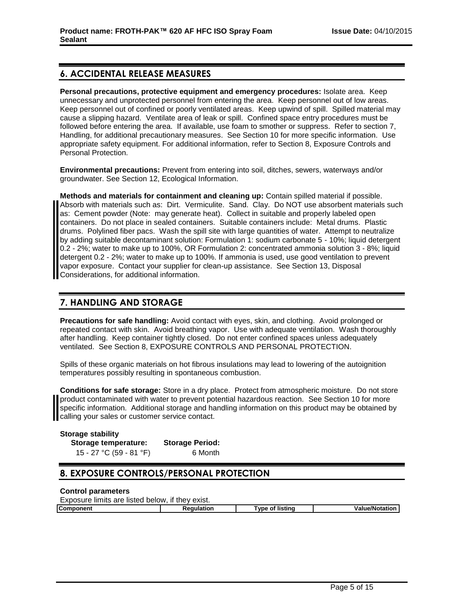# **6. ACCIDENTAL RELEASE MEASURES**

**Personal precautions, protective equipment and emergency procedures:** Isolate area. Keep unnecessary and unprotected personnel from entering the area. Keep personnel out of low areas. Keep personnel out of confined or poorly ventilated areas. Keep upwind of spill. Spilled material may cause a slipping hazard. Ventilate area of leak or spill. Confined space entry procedures must be followed before entering the area. If available, use foam to smother or suppress. Refer to section 7, Handling, for additional precautionary measures. See Section 10 for more specific information. Use appropriate safety equipment. For additional information, refer to Section 8, Exposure Controls and Personal Protection.

**Environmental precautions:** Prevent from entering into soil, ditches, sewers, waterways and/or groundwater. See Section 12, Ecological Information.

**Methods and materials for containment and cleaning up:** Contain spilled material if possible. Absorb with materials such as: Dirt. Vermiculite. Sand. Clay. Do NOT use absorbent materials such as: Cement powder (Note: may generate heat). Collect in suitable and properly labeled open containers. Do not place in sealed containers. Suitable containers include: Metal drums. Plastic drums. Polylined fiber pacs. Wash the spill site with large quantities of water. Attempt to neutralize by adding suitable decontaminant solution: Formulation 1: sodium carbonate 5 - 10%; liquid detergent 0.2 - 2%; water to make up to 100%, OR Formulation 2: concentrated ammonia solution 3 - 8%; liquid detergent 0.2 - 2%; water to make up to 100%. If ammonia is used, use good ventilation to prevent vapor exposure. Contact your supplier for clean-up assistance. See Section 13, Disposal Considerations, for additional information.

# **7. HANDLING AND STORAGE**

**Precautions for safe handling:** Avoid contact with eyes, skin, and clothing. Avoid prolonged or repeated contact with skin. Avoid breathing vapor. Use with adequate ventilation. Wash thoroughly after handling. Keep container tightly closed. Do not enter confined spaces unless adequately ventilated. See Section 8, EXPOSURE CONTROLS AND PERSONAL PROTECTION.

Spills of these organic materials on hot fibrous insulations may lead to lowering of the autoignition temperatures possibly resulting in spontaneous combustion.

**Conditions for safe storage:** Store in a dry place. Protect from atmospheric moisture. Do not store product contaminated with water to prevent potential hazardous reaction. See Section 10 for more specific information. Additional storage and handling information on this product may be obtained by calling your sales or customer service contact.

| <b>Storage stability</b> |                        |
|--------------------------|------------------------|
| Storage temperature:     | <b>Storage Period:</b> |
| 15 - 27 °C (59 - 81 °F)  | 6 Month                |

# **8. EXPOSURE CONTROLS/PERSONAL PROTECTION**

#### **Control parameters**

Exposure limits are listed below, if they exist.

| Component | atıon<br>---- | vne:<br>listina<br>Ωt | $-$ /K.<br>.<br>а |
|-----------|---------------|-----------------------|-------------------|
|           |               |                       |                   |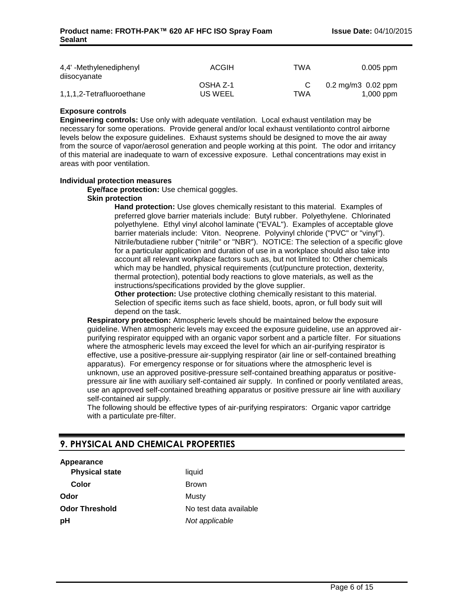| 4,4' -Methylenediphenyl<br>diisocyanate | <b>ACGIH</b>        | TWA | $0.005$ ppm                                   |
|-----------------------------------------|---------------------|-----|-----------------------------------------------|
| 1,1,1,2-Tetrafluoroethane               | OSHA Z-1<br>US WEEL | TWA | $0.2 \,\mathrm{mg/m}$ 0.02 ppm<br>$1,000$ ppm |

#### **Exposure controls**

**Engineering controls:** Use only with adequate ventilation. Local exhaust ventilation may be necessary for some operations. Provide general and/or local exhaust ventilationto control airborne levels below the exposure guidelines. Exhaust systems should be designed to move the air away from the source of vapor/aerosol generation and people working at this point. The odor and irritancy of this material are inadequate to warn of excessive exposure. Lethal concentrations may exist in areas with poor ventilation.

#### **Individual protection measures**

**Eye/face protection:** Use chemical goggles.

#### **Skin protection**

**Hand protection:** Use gloves chemically resistant to this material. Examples of preferred glove barrier materials include: Butyl rubber. Polyethylene. Chlorinated polyethylene. Ethyl vinyl alcohol laminate ("EVAL"). Examples of acceptable glove barrier materials include: Viton. Neoprene. Polyvinyl chloride ("PVC" or "vinyl"). Nitrile/butadiene rubber ("nitrile" or "NBR"). NOTICE: The selection of a specific glove for a particular application and duration of use in a workplace should also take into account all relevant workplace factors such as, but not limited to: Other chemicals which may be handled, physical requirements (cut/puncture protection, dexterity, thermal protection), potential body reactions to glove materials, as well as the instructions/specifications provided by the glove supplier.

**Other protection:** Use protective clothing chemically resistant to this material. Selection of specific items such as face shield, boots, apron, or full body suit will depend on the task.

**Respiratory protection:** Atmospheric levels should be maintained below the exposure guideline. When atmospheric levels may exceed the exposure guideline, use an approved airpurifying respirator equipped with an organic vapor sorbent and a particle filter. For situations where the atmospheric levels may exceed the level for which an air-purifying respirator is effective, use a positive-pressure air-supplying respirator (air line or self-contained breathing apparatus). For emergency response or for situations where the atmospheric level is unknown, use an approved positive-pressure self-contained breathing apparatus or positivepressure air line with auxiliary self-contained air supply. In confined or poorly ventilated areas, use an approved self-contained breathing apparatus or positive pressure air line with auxiliary self-contained air supply.

The following should be effective types of air-purifying respirators: Organic vapor cartridge with a particulate pre-filter.

# **9. PHYSICAL AND CHEMICAL PROPERTIES**

## **Appearance**

| <b>Physical state</b> |  |
|-----------------------|--|
| Color                 |  |
| Odor                  |  |
| <b>Odor Threshold</b> |  |
| рH                    |  |

**Printing Color** Brown **Musty** No test data available **Not applicable**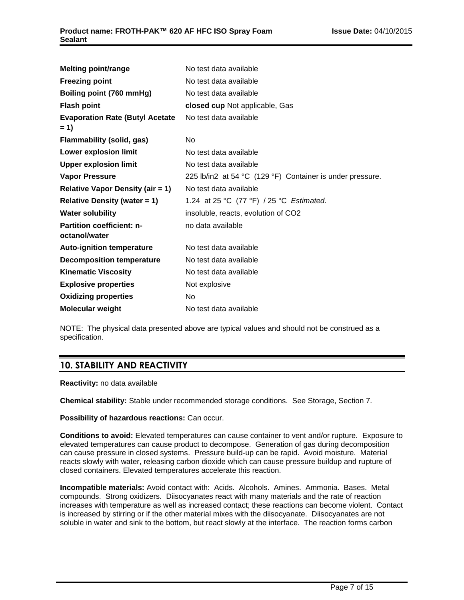| <b>Melting point/range</b>              | No test data available                                    |
|-----------------------------------------|-----------------------------------------------------------|
| <b>Freezing point</b>                   | No test data available                                    |
| Boiling point (760 mmHg)                | No test data available                                    |
| <b>Flash point</b>                      | closed cup Not applicable, Gas                            |
| <b>Evaporation Rate (Butyl Acetate</b>  | No test data available                                    |
| $= 1$                                   |                                                           |
| <b>Flammability (solid, gas)</b>        | N <sub>o</sub>                                            |
| Lower explosion limit                   | No test data available                                    |
| <b>Upper explosion limit</b>            | No test data available                                    |
| <b>Vapor Pressure</b>                   | 225 lb/in2 at 54 °C (129 °F) Container is under pressure. |
| <b>Relative Vapor Density (air = 1)</b> | No test data available                                    |
| Relative Density (water $= 1$ )         | 1.24 at 25 °C (77 °F) / 25 °C Estimated.                  |
| <b>Water solubility</b>                 | insoluble, reacts, evolution of CO2                       |
| <b>Partition coefficient: n-</b>        | no data available                                         |
| octanol/water                           |                                                           |
| <b>Auto-ignition temperature</b>        | No test data available                                    |
| <b>Decomposition temperature</b>        | No test data available                                    |
| <b>Kinematic Viscosity</b>              | No test data available                                    |
| <b>Explosive properties</b>             | Not explosive                                             |
| <b>Oxidizing properties</b>             | No                                                        |
| <b>Molecular weight</b>                 | No test data available                                    |
|                                         |                                                           |

NOTE: The physical data presented above are typical values and should not be construed as a specification.

# **10. STABILITY AND REACTIVITY**

**Reactivity:** no data available

**Chemical stability:** Stable under recommended storage conditions. See Storage, Section 7.

**Possibility of hazardous reactions:** Can occur.

**Conditions to avoid:** Elevated temperatures can cause container to vent and/or rupture. Exposure to elevated temperatures can cause product to decompose. Generation of gas during decomposition can cause pressure in closed systems. Pressure build-up can be rapid. Avoid moisture. Material reacts slowly with water, releasing carbon dioxide which can cause pressure buildup and rupture of closed containers. Elevated temperatures accelerate this reaction.

**Incompatible materials:** Avoid contact with: Acids. Alcohols. Amines. Ammonia. Bases. Metal compounds. Strong oxidizers. Diisocyanates react with many materials and the rate of reaction increases with temperature as well as increased contact; these reactions can become violent. Contact is increased by stirring or if the other material mixes with the diisocyanate. Diisocyanates are not soluble in water and sink to the bottom, but react slowly at the interface. The reaction forms carbon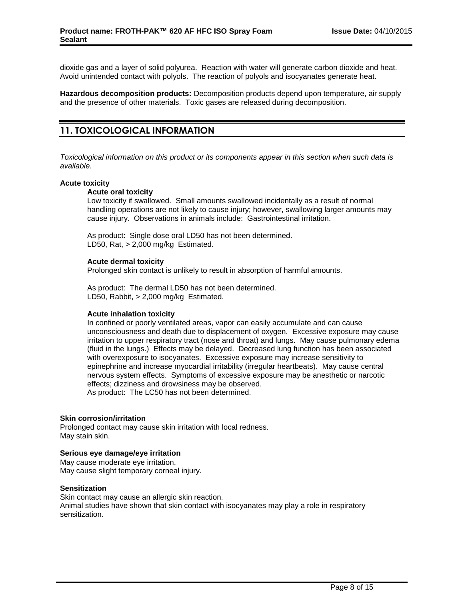dioxide gas and a layer of solid polyurea. Reaction with water will generate carbon dioxide and heat. Avoid unintended contact with polyols. The reaction of polyols and isocyanates generate heat.

**Hazardous decomposition products:** Decomposition products depend upon temperature, air supply and the presence of other materials. Toxic gases are released during decomposition.

# **11. TOXICOLOGICAL INFORMATION**

*Toxicological information on this product or its components appear in this section when such data is available.*

#### **Acute toxicity**

## **Acute oral toxicity**

Low toxicity if swallowed. Small amounts swallowed incidentally as a result of normal handling operations are not likely to cause injury; however, swallowing larger amounts may cause injury. Observations in animals include: Gastrointestinal irritation.

As product: Single dose oral LD50 has not been determined. LD50, Rat, > 2,000 mg/kg Estimated.

#### **Acute dermal toxicity**

Prolonged skin contact is unlikely to result in absorption of harmful amounts.

As product: The dermal LD50 has not been determined. LD50, Rabbit, > 2,000 mg/kg Estimated.

#### **Acute inhalation toxicity**

In confined or poorly ventilated areas, vapor can easily accumulate and can cause unconsciousness and death due to displacement of oxygen. Excessive exposure may cause irritation to upper respiratory tract (nose and throat) and lungs. May cause pulmonary edema (fluid in the lungs.) Effects may be delayed. Decreased lung function has been associated with overexposure to isocyanates. Excessive exposure may increase sensitivity to epinephrine and increase myocardial irritability (irregular heartbeats). May cause central nervous system effects. Symptoms of excessive exposure may be anesthetic or narcotic effects; dizziness and drowsiness may be observed. As product: The LC50 has not been determined.

#### **Skin corrosion/irritation**

Prolonged contact may cause skin irritation with local redness. May stain skin.

#### **Serious eye damage/eye irritation**

May cause moderate eye irritation. May cause slight temporary corneal injury.

#### **Sensitization**

Skin contact may cause an allergic skin reaction.

Animal studies have shown that skin contact with isocyanates may play a role in respiratory sensitization.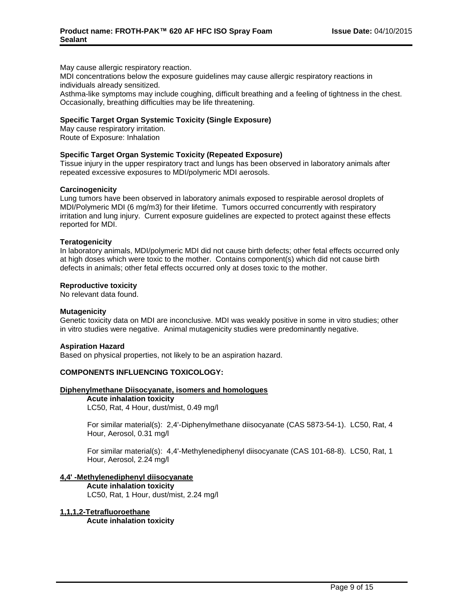May cause allergic respiratory reaction.

MDI concentrations below the exposure guidelines may cause allergic respiratory reactions in individuals already sensitized.

Asthma-like symptoms may include coughing, difficult breathing and a feeling of tightness in the chest. Occasionally, breathing difficulties may be life threatening.

#### **Specific Target Organ Systemic Toxicity (Single Exposure)**

May cause respiratory irritation. Route of Exposure: Inhalation

#### **Specific Target Organ Systemic Toxicity (Repeated Exposure)**

Tissue injury in the upper respiratory tract and lungs has been observed in laboratory animals after repeated excessive exposures to MDI/polymeric MDI aerosols.

#### **Carcinogenicity**

Lung tumors have been observed in laboratory animals exposed to respirable aerosol droplets of MDI/Polymeric MDI (6 mg/m3) for their lifetime. Tumors occurred concurrently with respiratory irritation and lung injury. Current exposure guidelines are expected to protect against these effects reported for MDI.

#### **Teratogenicity**

In laboratory animals, MDI/polymeric MDI did not cause birth defects; other fetal effects occurred only at high doses which were toxic to the mother. Contains component(s) which did not cause birth defects in animals; other fetal effects occurred only at doses toxic to the mother.

#### **Reproductive toxicity**

No relevant data found.

#### **Mutagenicity**

Genetic toxicity data on MDI are inconclusive. MDI was weakly positive in some in vitro studies; other in vitro studies were negative. Animal mutagenicity studies were predominantly negative.

#### **Aspiration Hazard**

Based on physical properties, not likely to be an aspiration hazard.

## **COMPONENTS INFLUENCING TOXICOLOGY:**

#### **Diphenylmethane Diisocyanate, isomers and homologues**

**Acute inhalation toxicity**

LC50, Rat, 4 Hour, dust/mist, 0.49 mg/l

For similar material(s): 2,4'-Diphenylmethane diisocyanate (CAS 5873-54-1). LC50, Rat, 4 Hour, Aerosol, 0.31 mg/l

For similar material(s): 4,4'-Methylenediphenyl diisocyanate (CAS 101-68-8). LC50, Rat, 1 Hour, Aerosol, 2.24 mg/l

## **4,4' -Methylenediphenyl diisocyanate**

**Acute inhalation toxicity** LC50, Rat, 1 Hour, dust/mist, 2.24 mg/l

#### **1,1,1,2-Tetrafluoroethane**

**Acute inhalation toxicity**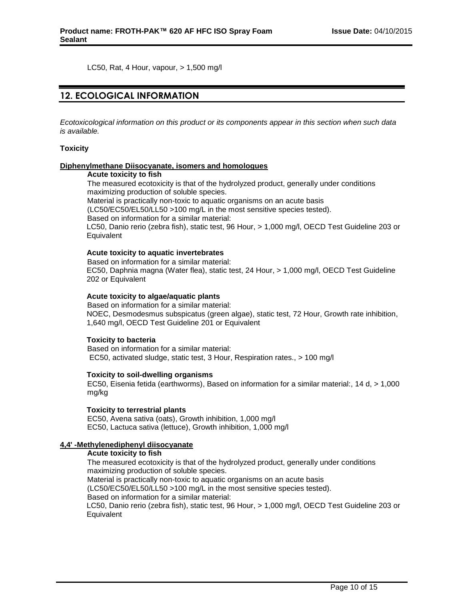LC50, Rat, 4 Hour, vapour, > 1,500 mg/l

# **12. ECOLOGICAL INFORMATION**

*Ecotoxicological information on this product or its components appear in this section when such data is available.*

#### **Toxicity**

#### **Diphenylmethane Diisocyanate, isomers and homologues**

#### **Acute toxicity to fish**

The measured ecotoxicity is that of the hydrolyzed product, generally under conditions maximizing production of soluble species. Material is practically non-toxic to aquatic organisms on an acute basis (LC50/EC50/EL50/LL50 >100 mg/L in the most sensitive species tested).

Based on information for a similar material:

LC50, Danio rerio (zebra fish), static test, 96 Hour, > 1,000 mg/l, OECD Test Guideline 203 or **Equivalent** 

#### **Acute toxicity to aquatic invertebrates**

Based on information for a similar material: EC50, Daphnia magna (Water flea), static test, 24 Hour, > 1,000 mg/l, OECD Test Guideline 202 or Equivalent

### **Acute toxicity to algae/aquatic plants**

Based on information for a similar material: NOEC, Desmodesmus subspicatus (green algae), static test, 72 Hour, Growth rate inhibition, 1,640 mg/l, OECD Test Guideline 201 or Equivalent

#### **Toxicity to bacteria**

Based on information for a similar material: EC50, activated sludge, static test, 3 Hour, Respiration rates., > 100 mg/l

#### **Toxicity to soil-dwelling organisms**

EC50, Eisenia fetida (earthworms), Based on information for a similar material:, 14 d, > 1,000 mg/kg

#### **Toxicity to terrestrial plants**

EC50, Avena sativa (oats), Growth inhibition, 1,000 mg/l EC50, Lactuca sativa (lettuce), Growth inhibition, 1,000 mg/l

#### **4,4' -Methylenediphenyl diisocyanate**

#### **Acute toxicity to fish**

The measured ecotoxicity is that of the hydrolyzed product, generally under conditions maximizing production of soluble species. Material is practically non-toxic to aquatic organisms on an acute basis

(LC50/EC50/EL50/LL50 >100 mg/L in the most sensitive species tested).

Based on information for a similar material:

LC50, Danio rerio (zebra fish), static test, 96 Hour, > 1,000 mg/l, OECD Test Guideline 203 or **Equivalent**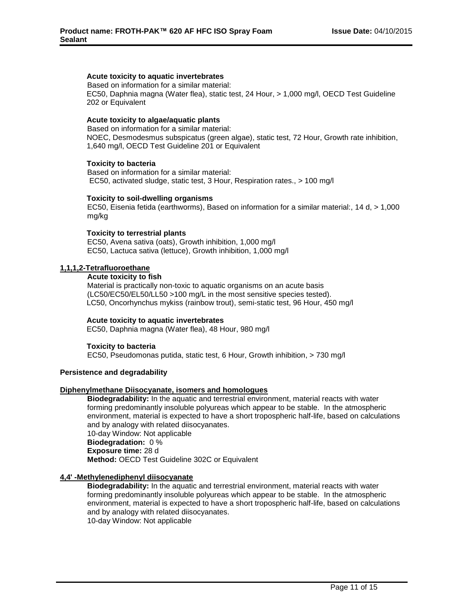## **Acute toxicity to aquatic invertebrates**

Based on information for a similar material: EC50, Daphnia magna (Water flea), static test, 24 Hour, > 1,000 mg/l, OECD Test Guideline 202 or Equivalent

#### **Acute toxicity to algae/aquatic plants**

Based on information for a similar material: NOEC, Desmodesmus subspicatus (green algae), static test, 72 Hour, Growth rate inhibition, 1,640 mg/l, OECD Test Guideline 201 or Equivalent

#### **Toxicity to bacteria**

Based on information for a similar material: EC50, activated sludge, static test, 3 Hour, Respiration rates., > 100 mg/l

#### **Toxicity to soil-dwelling organisms**

EC50, Eisenia fetida (earthworms), Based on information for a similar material:, 14 d, > 1,000 mg/kg

#### **Toxicity to terrestrial plants**

EC50, Avena sativa (oats), Growth inhibition, 1,000 mg/l EC50, Lactuca sativa (lettuce), Growth inhibition, 1,000 mg/l

#### **1,1,1,2-Tetrafluoroethane**

#### **Acute toxicity to fish**

Material is practically non-toxic to aquatic organisms on an acute basis (LC50/EC50/EL50/LL50 >100 mg/L in the most sensitive species tested). LC50, Oncorhynchus mykiss (rainbow trout), semi-static test, 96 Hour, 450 mg/l

#### **Acute toxicity to aquatic invertebrates**

EC50, Daphnia magna (Water flea), 48 Hour, 980 mg/l

#### **Toxicity to bacteria**

EC50, Pseudomonas putida, static test, 6 Hour, Growth inhibition, > 730 mg/l

#### **Persistence and degradability**

#### **Diphenylmethane Diisocyanate, isomers and homologues**

**Biodegradability:** In the aquatic and terrestrial environment, material reacts with water forming predominantly insoluble polyureas which appear to be stable. In the atmospheric environment, material is expected to have a short tropospheric half-life, based on calculations and by analogy with related diisocyanates. 10-day Window: Not applicable **Biodegradation:** 0 % **Exposure time:** 28 d

**Method:** OECD Test Guideline 302C or Equivalent

#### **4,4' -Methylenediphenyl diisocyanate**

**Biodegradability:** In the aquatic and terrestrial environment, material reacts with water forming predominantly insoluble polyureas which appear to be stable. In the atmospheric environment, material is expected to have a short tropospheric half-life, based on calculations and by analogy with related diisocyanates. 10-day Window: Not applicable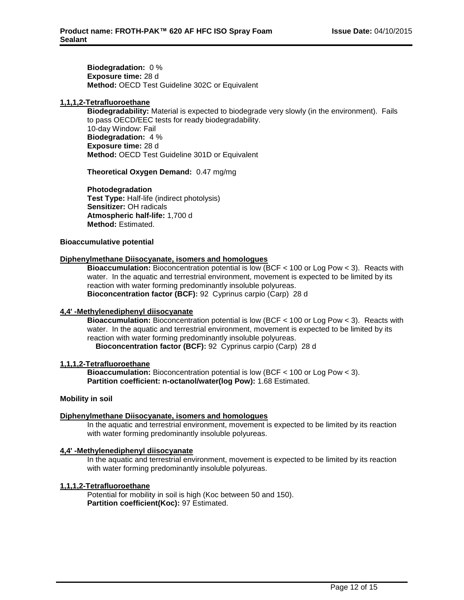**Biodegradation:** 0 % **Exposure time:** 28 d **Method:** OECD Test Guideline 302C or Equivalent

#### **1,1,1,2-Tetrafluoroethane**

**Biodegradability:** Material is expected to biodegrade very slowly (in the environment). Fails to pass OECD/EEC tests for ready biodegradability. 10-day Window: Fail **Biodegradation:** 4 % **Exposure time:** 28 d **Method:** OECD Test Guideline 301D or Equivalent

**Theoretical Oxygen Demand:** 0.47 mg/mg

**Photodegradation Test Type:** Half-life (indirect photolysis) **Sensitizer:** OH radicals **Atmospheric half-life:** 1,700 d **Method:** Estimated.

#### **Bioaccumulative potential**

#### **Diphenylmethane Diisocyanate, isomers and homologues**

**Bioaccumulation:** Bioconcentration potential is low (BCF < 100 or Log Pow < 3). Reacts with water. In the aquatic and terrestrial environment, movement is expected to be limited by its reaction with water forming predominantly insoluble polyureas. **Bioconcentration factor (BCF):** 92 Cyprinus carpio (Carp) 28 d

#### **4,4' -Methylenediphenyl diisocyanate**

**Bioaccumulation:** Bioconcentration potential is low (BCF < 100 or Log Pow < 3). Reacts with water. In the aquatic and terrestrial environment, movement is expected to be limited by its reaction with water forming predominantly insoluble polyureas.

**Bioconcentration factor (BCF):** 92 Cyprinus carpio (Carp) 28 d

## **1,1,1,2-Tetrafluoroethane**

**Bioaccumulation:** Bioconcentration potential is low (BCF < 100 or Log Pow < 3). **Partition coefficient: n-octanol/water(log Pow):** 1.68 Estimated.

#### **Mobility in soil**

## **Diphenylmethane Diisocyanate, isomers and homologues**

In the aquatic and terrestrial environment, movement is expected to be limited by its reaction with water forming predominantly insoluble polyureas.

#### **4,4' -Methylenediphenyl diisocyanate**

In the aquatic and terrestrial environment, movement is expected to be limited by its reaction with water forming predominantly insoluble polyureas.

#### **1,1,1,2-Tetrafluoroethane**

Potential for mobility in soil is high (Koc between 50 and 150). **Partition coefficient(Koc):** 97 Estimated.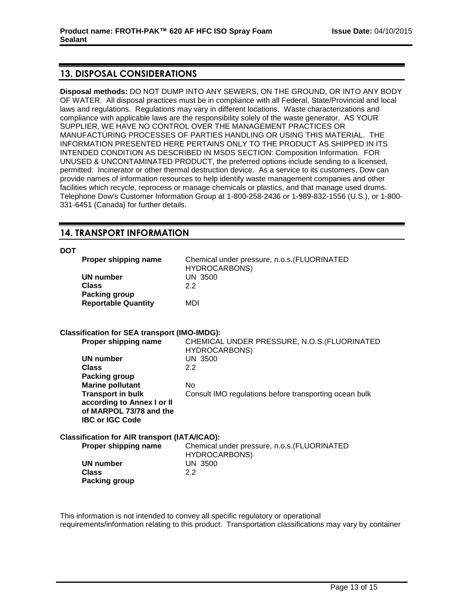# **13. DISPOSAL CONSIDERATIONS**

**Disposal methods:** DO NOT DUMP INTO ANY SEWERS, ON THE GROUND, OR INTO ANY BODY OF WATER. All disposal practices must be in compliance with all Federal, State/Provincial and local laws and regulations. Regulations may vary in different locations. Waste characterizations and compliance with applicable laws are the responsibility solely of the waste generator. AS YOUR SUPPLIER, WE HAVE NO CONTROL OVER THE MANAGEMENT PRACTICES OR MANUFACTURING PROCESSES OF PARTIES HANDLING OR USING THIS MATERIAL. THE INFORMATION PRESENTED HERE PERTAINS ONLY TO THE PRODUCT AS SHIPPED IN ITS INTENDED CONDITION AS DESCRIBED IN MSDS SECTION: Composition Information. FOR UNUSED & UNCONTAMINATED PRODUCT, the preferred options include sending to a licensed, permitted: Incinerator or other thermal destruction device. As a service to its customers, Dow can provide names of information resources to help identify waste management companies and other facilities which recycle, reprocess or manage chemicals or plastics, and that manage used drums. Telephone Dow's Customer Information Group at 1-800-258-2436 or 1-989-832-1556 (U.S.), or 1-800- 331-6451 (Canada) for further details.

# **14. TRANSPORT INFORMATION**

#### **DOT**

| Proper shipping name                                 | Chemical under pressure, n.o.s. (FLUORINATED<br><b>HYDROCARBONS)</b> |
|------------------------------------------------------|----------------------------------------------------------------------|
| <b>UN number</b>                                     | <b>UN 3500</b>                                                       |
| <b>Class</b>                                         | 2.2                                                                  |
| Packing group                                        |                                                                      |
|                                                      |                                                                      |
| <b>Reportable Quantity</b>                           | MDI                                                                  |
| <b>Classification for SEA transport (IMO-IMDG):</b>  |                                                                      |
| Proper shipping name                                 | CHEMICAL UNDER PRESSURE, N.O.S. (FLUORINATED<br><b>HYDROCARBONS)</b> |
| <b>UN number</b>                                     | <b>UN 3500</b>                                                       |
| <b>Class</b>                                         | 2.2                                                                  |
| <b>Packing group</b>                                 |                                                                      |
| <b>Marine pollutant</b>                              | <b>No</b>                                                            |
| <b>Transport in bulk</b>                             | Consult IMO regulations before transporting ocean bulk               |
| according to Annex I or II                           |                                                                      |
|                                                      |                                                                      |
| of MARPOL 73/78 and the                              |                                                                      |
| <b>IBC or IGC Code</b>                               |                                                                      |
| <b>Classification for AIR transport (IATA/ICAO):</b> |                                                                      |
| Proper shipping name                                 | Chemical under pressure, n.o.s. (FLUORINATED<br><b>HYDROCARBONS)</b> |
| <b>UN number</b>                                     | <b>UN 3500</b>                                                       |
| <b>Class</b>                                         | 2.2                                                                  |
| Packing group                                        |                                                                      |
|                                                      |                                                                      |
|                                                      |                                                                      |

This information is not intended to convey all specific regulatory or operational requirements/information relating to this product. Transportation classifications may vary by container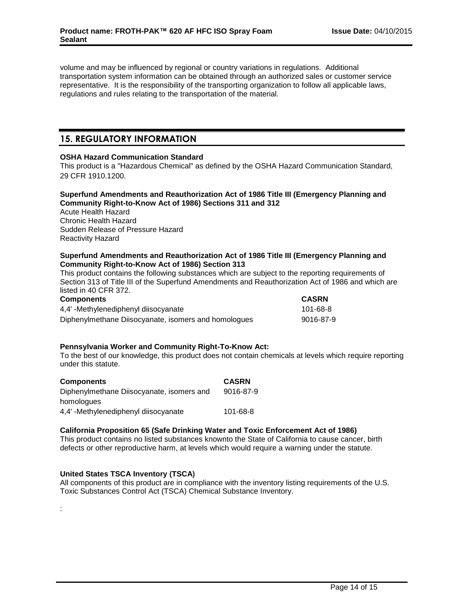volume and may be influenced by regional or country variations in regulations. Additional transportation system information can be obtained through an authorized sales or customer service representative. It is the responsibility of the transporting organization to follow all applicable laws, regulations and rules relating to the transportation of the material.

# **15. REGULATORY INFORMATION**

#### **OSHA Hazard Communication Standard**

This product is a "Hazardous Chemical" as defined by the OSHA Hazard Communication Standard, 29 CFR 1910.1200.

#### **Superfund Amendments and Reauthorization Act of 1986 Title III (Emergency Planning and Community Right-to-Know Act of 1986) Sections 311 and 312**

Acute Health Hazard Chronic Health Hazard Sudden Release of Pressure Hazard Reactivity Hazard

#### **Superfund Amendments and Reauthorization Act of 1986 Title III (Emergency Planning and Community Right-to-Know Act of 1986) Section 313**

This product contains the following substances which are subject to the reporting requirements of Section 313 of Title III of the Superfund Amendments and Reauthorization Act of 1986 and which are listed in 40 CFR 372.

| <b>Components</b>                                    | <b>CASRN</b> |
|------------------------------------------------------|--------------|
| 4.4'-Methylenediphenyl diisocyanate                  | 101-68-8     |
| Diphenylmethane Diisocyanate, isomers and homologues | 9016-87-9    |

## **Pennsylvania Worker and Community Right-To-Know Act:**

To the best of our knowledge, this product does not contain chemicals at levels which require reporting under this statute.

| <b>Components</b>                         | <b>CASRN</b>   |
|-------------------------------------------|----------------|
| Diphenylmethane Diisocyanate, isomers and | 9016-87-9      |
| homologues                                |                |
| 4,4' -Methylenediphenyl diisocyanate      | $101 - 68 - 8$ |

## **California Proposition 65 (Safe Drinking Water and Toxic Enforcement Act of 1986)**

This product contains no listed substances knownto the State of California to cause cancer, birth defects or other reproductive harm, at levels which would require a warning under the statute.

## **United States TSCA Inventory (TSCA)**

:

All components of this product are in compliance with the inventory listing requirements of the U.S. Toxic Substances Control Act (TSCA) Chemical Substance Inventory.